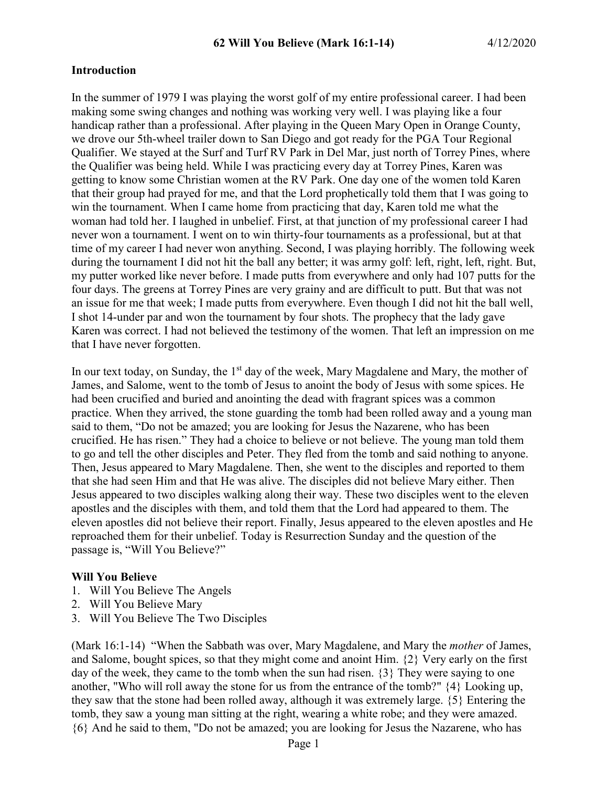#### **Introduction**

In the summer of 1979 I was playing the worst golf of my entire professional career. I had been making some swing changes and nothing was working very well. I was playing like a four handicap rather than a professional. After playing in the Queen Mary Open in Orange County, we drove our 5th-wheel trailer down to San Diego and got ready for the PGA Tour Regional Qualifier. We stayed at the Surf and Turf RV Park in Del Mar, just north of Torrey Pines, where the Qualifier was being held. While I was practicing every day at Torrey Pines, Karen was getting to know some Christian women at the RV Park. One day one of the women told Karen that their group had prayed for me, and that the Lord prophetically told them that I was going to win the tournament. When I came home from practicing that day, Karen told me what the woman had told her. I laughed in unbelief. First, at that junction of my professional career I had never won a tournament. I went on to win thirty-four tournaments as a professional, but at that time of my career I had never won anything. Second, I was playing horribly. The following week during the tournament I did not hit the ball any better; it was army golf: left, right, left, right. But, my putter worked like never before. I made putts from everywhere and only had 107 putts for the four days. The greens at Torrey Pines are very grainy and are difficult to putt. But that was not an issue for me that week; I made putts from everywhere. Even though I did not hit the ball well, I shot 14-under par and won the tournament by four shots. The prophecy that the lady gave Karen was correct. I had not believed the testimony of the women. That left an impression on me that I have never forgotten.

In our text today, on Sunday, the  $1<sup>st</sup>$  day of the week, Mary Magdalene and Mary, the mother of James, and Salome, went to the tomb of Jesus to anoint the body of Jesus with some spices. He had been crucified and buried and anointing the dead with fragrant spices was a common practice. When they arrived, the stone guarding the tomb had been rolled away and a young man said to them, "Do not be amazed; you are looking for Jesus the Nazarene, who has been crucified. He has risen." They had a choice to believe or not believe. The young man told them to go and tell the other disciples and Peter. They fled from the tomb and said nothing to anyone. Then, Jesus appeared to Mary Magdalene. Then, she went to the disciples and reported to them that she had seen Him and that He was alive. The disciples did not believe Mary either. Then Jesus appeared to two disciples walking along their way. These two disciples went to the eleven apostles and the disciples with them, and told them that the Lord had appeared to them. The eleven apostles did not believe their report. Finally, Jesus appeared to the eleven apostles and He reproached them for their unbelief. Today is Resurrection Sunday and the question of the passage is, "Will You Believe?"

#### **Will You Believe**

- 1. Will You Believe The Angels
- 2. Will You Believe Mary
- 3. Will You Believe The Two Disciples

(Mark 16:1-14) "When the Sabbath was over, Mary Magdalene, and Mary the *mother* of James, and Salome, bought spices, so that they might come and anoint Him. {2} Very early on the first day of the week, they came to the tomb when the sun had risen. {3} They were saying to one another, "Who will roll away the stone for us from the entrance of the tomb?" {4} Looking up, they saw that the stone had been rolled away, although it was extremely large. {5} Entering the tomb, they saw a young man sitting at the right, wearing a white robe; and they were amazed. {6} And he said to them, "Do not be amazed; you are looking for Jesus the Nazarene, who has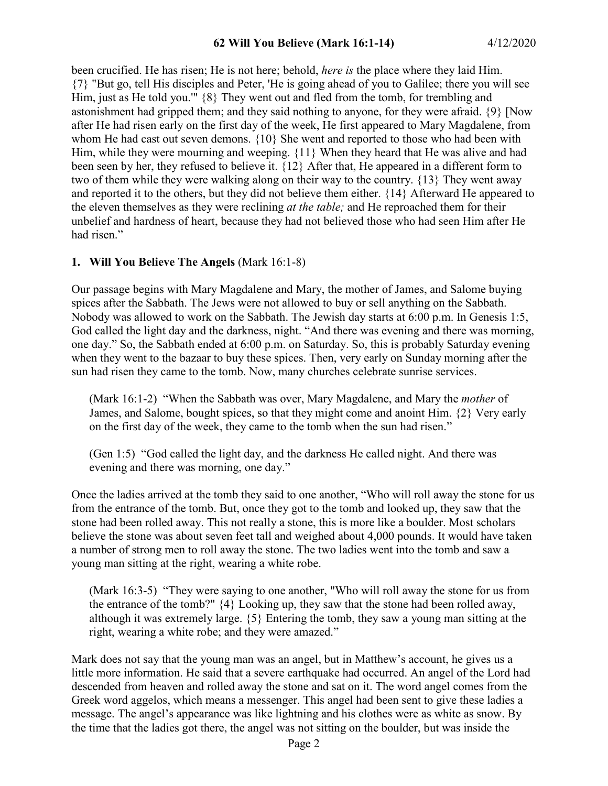been crucified. He has risen; He is not here; behold, *here is* the place where they laid Him. {7} "But go, tell His disciples and Peter, 'He is going ahead of you to Galilee; there you will see Him, just as He told you.'" {8} They went out and fled from the tomb, for trembling and astonishment had gripped them; and they said nothing to anyone, for they were afraid. {9} [Now after He had risen early on the first day of the week, He first appeared to Mary Magdalene, from whom He had cast out seven demons. {10} She went and reported to those who had been with Him, while they were mourning and weeping. {11} When they heard that He was alive and had been seen by her, they refused to believe it. {12} After that, He appeared in a different form to two of them while they were walking along on their way to the country. {13} They went away and reported it to the others, but they did not believe them either. {14} Afterward He appeared to the eleven themselves as they were reclining *at the table;* and He reproached them for their unbelief and hardness of heart, because they had not believed those who had seen Him after He had risen."

## **1. Will You Believe The Angels** (Mark 16:1-8)

Our passage begins with Mary Magdalene and Mary, the mother of James, and Salome buying spices after the Sabbath. The Jews were not allowed to buy or sell anything on the Sabbath. Nobody was allowed to work on the Sabbath. The Jewish day starts at 6:00 p.m. In Genesis 1:5, God called the light day and the darkness, night. "And there was evening and there was morning, one day." So, the Sabbath ended at 6:00 p.m. on Saturday. So, this is probably Saturday evening when they went to the bazaar to buy these spices. Then, very early on Sunday morning after the sun had risen they came to the tomb. Now, many churches celebrate sunrise services.

(Mark 16:1-2) "When the Sabbath was over, Mary Magdalene, and Mary the *mother* of James, and Salome, bought spices, so that they might come and anoint Him. {2} Very early on the first day of the week, they came to the tomb when the sun had risen."

(Gen 1:5) "God called the light day, and the darkness He called night. And there was evening and there was morning, one day."

Once the ladies arrived at the tomb they said to one another, "Who will roll away the stone for us from the entrance of the tomb. But, once they got to the tomb and looked up, they saw that the stone had been rolled away. This not really a stone, this is more like a boulder. Most scholars believe the stone was about seven feet tall and weighed about 4,000 pounds. It would have taken a number of strong men to roll away the stone. The two ladies went into the tomb and saw a young man sitting at the right, wearing a white robe.

(Mark 16:3-5) "They were saying to one another, "Who will roll away the stone for us from the entrance of the tomb?" {4} Looking up, they saw that the stone had been rolled away, although it was extremely large. {5} Entering the tomb, they saw a young man sitting at the right, wearing a white robe; and they were amazed."

Mark does not say that the young man was an angel, but in Matthew's account, he gives us a little more information. He said that a severe earthquake had occurred. An angel of the Lord had descended from heaven and rolled away the stone and sat on it. The word angel comes from the Greek word aggelos, which means a messenger. This angel had been sent to give these ladies a message. The angel's appearance was like lightning and his clothes were as white as snow. By the time that the ladies got there, the angel was not sitting on the boulder, but was inside the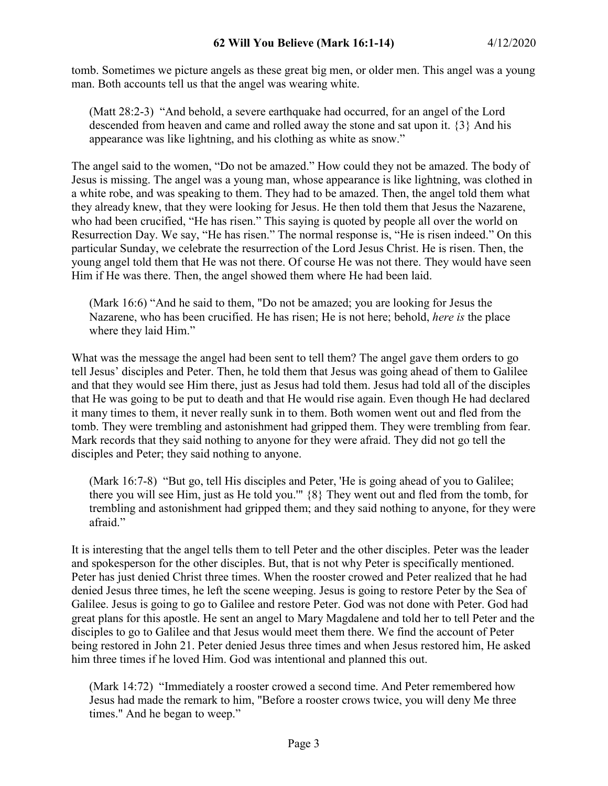tomb. Sometimes we picture angels as these great big men, or older men. This angel was a young man. Both accounts tell us that the angel was wearing white.

(Matt 28:2-3) "And behold, a severe earthquake had occurred, for an angel of the Lord descended from heaven and came and rolled away the stone and sat upon it. {3} And his appearance was like lightning, and his clothing as white as snow."

The angel said to the women, "Do not be amazed." How could they not be amazed. The body of Jesus is missing. The angel was a young man, whose appearance is like lightning, was clothed in a white robe, and was speaking to them. They had to be amazed. Then, the angel told them what they already knew, that they were looking for Jesus. He then told them that Jesus the Nazarene, who had been crucified, "He has risen." This saying is quoted by people all over the world on Resurrection Day. We say, "He has risen." The normal response is, "He is risen indeed." On this particular Sunday, we celebrate the resurrection of the Lord Jesus Christ. He is risen. Then, the young angel told them that He was not there. Of course He was not there. They would have seen Him if He was there. Then, the angel showed them where He had been laid.

(Mark 16:6) "And he said to them, "Do not be amazed; you are looking for Jesus the Nazarene, who has been crucified. He has risen; He is not here; behold, *here is* the place where they laid Him."

What was the message the angel had been sent to tell them? The angel gave them orders to go tell Jesus' disciples and Peter. Then, he told them that Jesus was going ahead of them to Galilee and that they would see Him there, just as Jesus had told them. Jesus had told all of the disciples that He was going to be put to death and that He would rise again. Even though He had declared it many times to them, it never really sunk in to them. Both women went out and fled from the tomb. They were trembling and astonishment had gripped them. They were trembling from fear. Mark records that they said nothing to anyone for they were afraid. They did not go tell the disciples and Peter; they said nothing to anyone.

(Mark 16:7-8) "But go, tell His disciples and Peter, 'He is going ahead of you to Galilee; there you will see Him, just as He told you.'" {8} They went out and fled from the tomb, for trembling and astonishment had gripped them; and they said nothing to anyone, for they were afraid."

It is interesting that the angel tells them to tell Peter and the other disciples. Peter was the leader and spokesperson for the other disciples. But, that is not why Peter is specifically mentioned. Peter has just denied Christ three times. When the rooster crowed and Peter realized that he had denied Jesus three times, he left the scene weeping. Jesus is going to restore Peter by the Sea of Galilee. Jesus is going to go to Galilee and restore Peter. God was not done with Peter. God had great plans for this apostle. He sent an angel to Mary Magdalene and told her to tell Peter and the disciples to go to Galilee and that Jesus would meet them there. We find the account of Peter being restored in John 21. Peter denied Jesus three times and when Jesus restored him, He asked him three times if he loved Him. God was intentional and planned this out.

(Mark 14:72) "Immediately a rooster crowed a second time. And Peter remembered how Jesus had made the remark to him, "Before a rooster crows twice, you will deny Me three times." And he began to weep."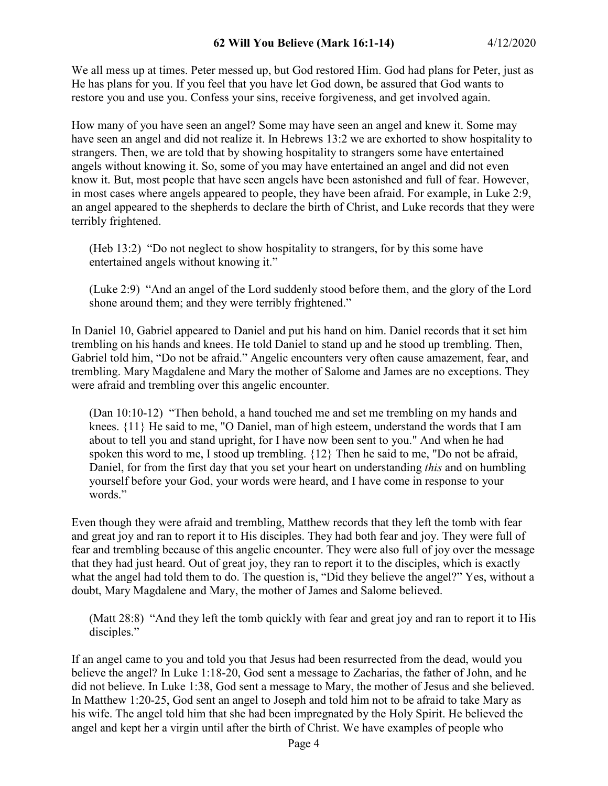We all mess up at times. Peter messed up, but God restored Him. God had plans for Peter, just as He has plans for you. If you feel that you have let God down, be assured that God wants to restore you and use you. Confess your sins, receive forgiveness, and get involved again.

How many of you have seen an angel? Some may have seen an angel and knew it. Some may have seen an angel and did not realize it. In Hebrews 13:2 we are exhorted to show hospitality to strangers. Then, we are told that by showing hospitality to strangers some have entertained angels without knowing it. So, some of you may have entertained an angel and did not even know it. But, most people that have seen angels have been astonished and full of fear. However, in most cases where angels appeared to people, they have been afraid. For example, in Luke 2:9, an angel appeared to the shepherds to declare the birth of Christ, and Luke records that they were terribly frightened.

(Heb 13:2) "Do not neglect to show hospitality to strangers, for by this some have entertained angels without knowing it."

(Luke 2:9) "And an angel of the Lord suddenly stood before them, and the glory of the Lord shone around them; and they were terribly frightened."

In Daniel 10, Gabriel appeared to Daniel and put his hand on him. Daniel records that it set him trembling on his hands and knees. He told Daniel to stand up and he stood up trembling. Then, Gabriel told him, "Do not be afraid." Angelic encounters very often cause amazement, fear, and trembling. Mary Magdalene and Mary the mother of Salome and James are no exceptions. They were afraid and trembling over this angelic encounter.

(Dan 10:10-12) "Then behold, a hand touched me and set me trembling on my hands and knees. {11} He said to me, "O Daniel, man of high esteem, understand the words that I am about to tell you and stand upright, for I have now been sent to you." And when he had spoken this word to me, I stood up trembling. {12} Then he said to me, "Do not be afraid, Daniel, for from the first day that you set your heart on understanding *this* and on humbling yourself before your God, your words were heard, and I have come in response to your words."

Even though they were afraid and trembling, Matthew records that they left the tomb with fear and great joy and ran to report it to His disciples. They had both fear and joy. They were full of fear and trembling because of this angelic encounter. They were also full of joy over the message that they had just heard. Out of great joy, they ran to report it to the disciples, which is exactly what the angel had told them to do. The question is, "Did they believe the angel?" Yes, without a doubt, Mary Magdalene and Mary, the mother of James and Salome believed.

(Matt 28:8) "And they left the tomb quickly with fear and great joy and ran to report it to His disciples."

If an angel came to you and told you that Jesus had been resurrected from the dead, would you believe the angel? In Luke 1:18-20, God sent a message to Zacharias, the father of John, and he did not believe. In Luke 1:38, God sent a message to Mary, the mother of Jesus and she believed. In Matthew 1:20-25, God sent an angel to Joseph and told him not to be afraid to take Mary as his wife. The angel told him that she had been impregnated by the Holy Spirit. He believed the angel and kept her a virgin until after the birth of Christ. We have examples of people who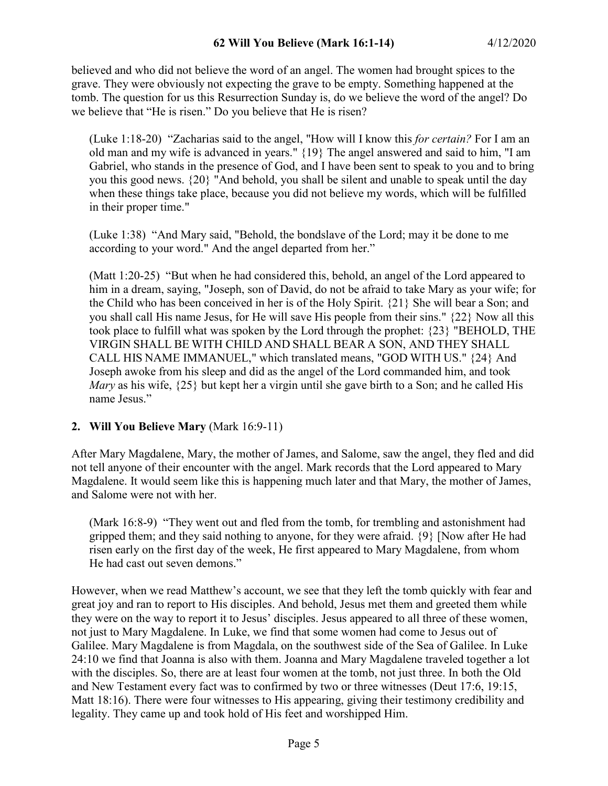believed and who did not believe the word of an angel. The women had brought spices to the grave. They were obviously not expecting the grave to be empty. Something happened at the tomb. The question for us this Resurrection Sunday is, do we believe the word of the angel? Do we believe that "He is risen." Do you believe that He is risen?

(Luke 1:18-20) "Zacharias said to the angel, "How will I know this *for certain?* For I am an old man and my wife is advanced in years." {19} The angel answered and said to him, "I am Gabriel, who stands in the presence of God, and I have been sent to speak to you and to bring you this good news. {20} "And behold, you shall be silent and unable to speak until the day when these things take place, because you did not believe my words, which will be fulfilled in their proper time."

(Luke 1:38) "And Mary said, "Behold, the bondslave of the Lord; may it be done to me according to your word." And the angel departed from her."

(Matt 1:20-25) "But when he had considered this, behold, an angel of the Lord appeared to him in a dream, saying, "Joseph, son of David, do not be afraid to take Mary as your wife; for the Child who has been conceived in her is of the Holy Spirit. {21} She will bear a Son; and you shall call His name Jesus, for He will save His people from their sins." {22} Now all this took place to fulfill what was spoken by the Lord through the prophet: {23} "BEHOLD, THE VIRGIN SHALL BE WITH CHILD AND SHALL BEAR A SON, AND THEY SHALL CALL HIS NAME IMMANUEL," which translated means, "GOD WITH US." {24} And Joseph awoke from his sleep and did as the angel of the Lord commanded him, and took *Mary* as his wife,  $\{25\}$  but kept her a virgin until she gave birth to a Son; and he called His name Jesus."

# **2. Will You Believe Mary** (Mark 16:9-11)

After Mary Magdalene, Mary, the mother of James, and Salome, saw the angel, they fled and did not tell anyone of their encounter with the angel. Mark records that the Lord appeared to Mary Magdalene. It would seem like this is happening much later and that Mary, the mother of James, and Salome were not with her.

(Mark 16:8-9) "They went out and fled from the tomb, for trembling and astonishment had gripped them; and they said nothing to anyone, for they were afraid. {9} [Now after He had risen early on the first day of the week, He first appeared to Mary Magdalene, from whom He had cast out seven demons."

However, when we read Matthew's account, we see that they left the tomb quickly with fear and great joy and ran to report to His disciples. And behold, Jesus met them and greeted them while they were on the way to report it to Jesus' disciples. Jesus appeared to all three of these women, not just to Mary Magdalene. In Luke, we find that some women had come to Jesus out of Galilee. Mary Magdalene is from Magdala, on the southwest side of the Sea of Galilee. In Luke 24:10 we find that Joanna is also with them. Joanna and Mary Magdalene traveled together a lot with the disciples. So, there are at least four women at the tomb, not just three. In both the Old and New Testament every fact was to confirmed by two or three witnesses (Deut 17:6, 19:15, Matt 18:16). There were four witnesses to His appearing, giving their testimony credibility and legality. They came up and took hold of His feet and worshipped Him.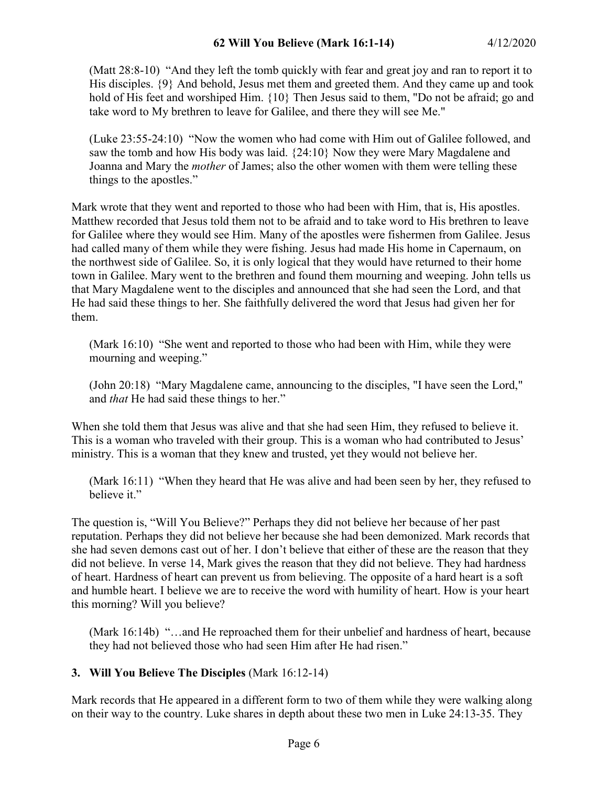(Matt 28:8-10) "And they left the tomb quickly with fear and great joy and ran to report it to His disciples.  $\{9\}$  And behold, Jesus met them and greeted them. And they came up and took hold of His feet and worshiped Him. {10} Then Jesus said to them, "Do not be afraid; go and take word to My brethren to leave for Galilee, and there they will see Me."

(Luke 23:55-24:10) "Now the women who had come with Him out of Galilee followed, and saw the tomb and how His body was laid. {24:10} Now they were Mary Magdalene and Joanna and Mary the *mother* of James; also the other women with them were telling these things to the apostles."

Mark wrote that they went and reported to those who had been with Him, that is, His apostles. Matthew recorded that Jesus told them not to be afraid and to take word to His brethren to leave for Galilee where they would see Him. Many of the apostles were fishermen from Galilee. Jesus had called many of them while they were fishing. Jesus had made His home in Capernaum, on the northwest side of Galilee. So, it is only logical that they would have returned to their home town in Galilee. Mary went to the brethren and found them mourning and weeping. John tells us that Mary Magdalene went to the disciples and announced that she had seen the Lord, and that He had said these things to her. She faithfully delivered the word that Jesus had given her for them.

(Mark 16:10) "She went and reported to those who had been with Him, while they were mourning and weeping."

(John 20:18) "Mary Magdalene came, announcing to the disciples, "I have seen the Lord," and *that* He had said these things to her."

When she told them that Jesus was alive and that she had seen Him, they refused to believe it. This is a woman who traveled with their group. This is a woman who had contributed to Jesus' ministry. This is a woman that they knew and trusted, yet they would not believe her.

(Mark 16:11) "When they heard that He was alive and had been seen by her, they refused to believe it."

The question is, "Will You Believe?" Perhaps they did not believe her because of her past reputation. Perhaps they did not believe her because she had been demonized. Mark records that she had seven demons cast out of her. I don't believe that either of these are the reason that they did not believe. In verse 14, Mark gives the reason that they did not believe. They had hardness of heart. Hardness of heart can prevent us from believing. The opposite of a hard heart is a soft and humble heart. I believe we are to receive the word with humility of heart. How is your heart this morning? Will you believe?

(Mark 16:14b) "…and He reproached them for their unbelief and hardness of heart, because they had not believed those who had seen Him after He had risen."

# **3. Will You Believe The Disciples** (Mark 16:12-14)

Mark records that He appeared in a different form to two of them while they were walking along on their way to the country. Luke shares in depth about these two men in Luke 24:13-35. They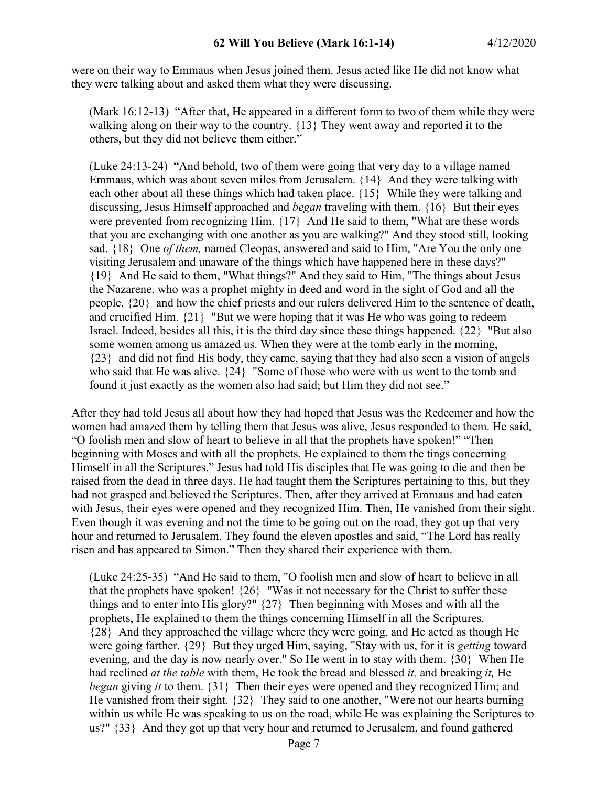were on their way to Emmaus when Jesus joined them. Jesus acted like He did not know what they were talking about and asked them what they were discussing.

(Mark 16:12-13) "After that, He appeared in a different form to two of them while they were walking along on their way to the country. {13} They went away and reported it to the others, but they did not believe them either."

(Luke 24:13-24) "And behold, two of them were going that very day to a village named Emmaus, which was about seven miles from Jerusalem. {14} And they were talking with each other about all these things which had taken place. {15} While they were talking and discussing, Jesus Himself approached and *began* traveling with them. {16} But their eyes were prevented from recognizing Him. {17} And He said to them, "What are these words that you are exchanging with one another as you are walking?" And they stood still, looking sad. {18} One *of them,* named Cleopas, answered and said to Him, "Are You the only one visiting Jerusalem and unaware of the things which have happened here in these days?" {19} And He said to them, "What things?" And they said to Him, "The things about Jesus the Nazarene, who was a prophet mighty in deed and word in the sight of God and all the people, {20} and how the chief priests and our rulers delivered Him to the sentence of death, and crucified Him. {21} "But we were hoping that it was He who was going to redeem Israel. Indeed, besides all this, it is the third day since these things happened. {22} "But also some women among us amazed us. When they were at the tomb early in the morning, {23} and did not find His body, they came, saying that they had also seen a vision of angels who said that He was alive. {24} "Some of those who were with us went to the tomb and found it just exactly as the women also had said; but Him they did not see."

After they had told Jesus all about how they had hoped that Jesus was the Redeemer and how the women had amazed them by telling them that Jesus was alive, Jesus responded to them. He said, "O foolish men and slow of heart to believe in all that the prophets have spoken!" "Then beginning with Moses and with all the prophets, He explained to them the tings concerning Himself in all the Scriptures." Jesus had told His disciples that He was going to die and then be raised from the dead in three days. He had taught them the Scriptures pertaining to this, but they had not grasped and believed the Scriptures. Then, after they arrived at Emmaus and had eaten with Jesus, their eyes were opened and they recognized Him. Then, He vanished from their sight. Even though it was evening and not the time to be going out on the road, they got up that very hour and returned to Jerusalem. They found the eleven apostles and said, "The Lord has really risen and has appeared to Simon." Then they shared their experience with them.

(Luke 24:25-35) "And He said to them, "O foolish men and slow of heart to believe in all that the prophets have spoken!  $\{26\}$  "Was it not necessary for the Christ to suffer these things and to enter into His glory?" {27} Then beginning with Moses and with all the prophets, He explained to them the things concerning Himself in all the Scriptures. {28} And they approached the village where they were going, and He acted as though He were going farther. {29} But they urged Him, saying, "Stay with us, for it is *getting* toward evening, and the day is now nearly over." So He went in to stay with them. {30} When He had reclined *at the table* with them, He took the bread and blessed *it,* and breaking *it,* He *began* giving *it* to them. {31} Then their eyes were opened and they recognized Him; and He vanished from their sight. {32} They said to one another, "Were not our hearts burning within us while He was speaking to us on the road, while He was explaining the Scriptures to us?" {33} And they got up that very hour and returned to Jerusalem, and found gathered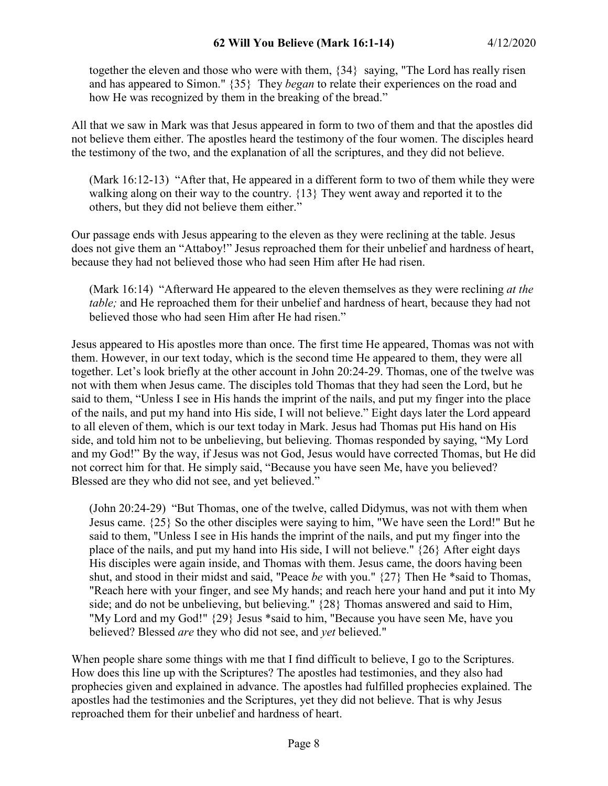together the eleven and those who were with them, {34} saying, "The Lord has really risen and has appeared to Simon." {35} They *began* to relate their experiences on the road and how He was recognized by them in the breaking of the bread."

All that we saw in Mark was that Jesus appeared in form to two of them and that the apostles did not believe them either. The apostles heard the testimony of the four women. The disciples heard the testimony of the two, and the explanation of all the scriptures, and they did not believe.

(Mark 16:12-13) "After that, He appeared in a different form to two of them while they were walking along on their way to the country. {13} They went away and reported it to the others, but they did not believe them either."

Our passage ends with Jesus appearing to the eleven as they were reclining at the table. Jesus does not give them an "Attaboy!" Jesus reproached them for their unbelief and hardness of heart, because they had not believed those who had seen Him after He had risen.

(Mark 16:14) "Afterward He appeared to the eleven themselves as they were reclining *at the table;* and He reproached them for their unbelief and hardness of heart, because they had not believed those who had seen Him after He had risen."

Jesus appeared to His apostles more than once. The first time He appeared, Thomas was not with them. However, in our text today, which is the second time He appeared to them, they were all together. Let's look briefly at the other account in John 20:24-29. Thomas, one of the twelve was not with them when Jesus came. The disciples told Thomas that they had seen the Lord, but he said to them, "Unless I see in His hands the imprint of the nails, and put my finger into the place of the nails, and put my hand into His side, I will not believe." Eight days later the Lord appeard to all eleven of them, which is our text today in Mark. Jesus had Thomas put His hand on His side, and told him not to be unbelieving, but believing. Thomas responded by saying, "My Lord and my God!" By the way, if Jesus was not God, Jesus would have corrected Thomas, but He did not correct him for that. He simply said, "Because you have seen Me, have you believed? Blessed are they who did not see, and yet believed."

(John 20:24-29) "But Thomas, one of the twelve, called Didymus, was not with them when Jesus came. {25} So the other disciples were saying to him, "We have seen the Lord!" But he said to them, "Unless I see in His hands the imprint of the nails, and put my finger into the place of the nails, and put my hand into His side, I will not believe." {26} After eight days His disciples were again inside, and Thomas with them. Jesus came, the doors having been shut, and stood in their midst and said, "Peace *be* with you." {27} Then He \*said to Thomas, "Reach here with your finger, and see My hands; and reach here your hand and put it into My side; and do not be unbelieving, but believing." {28} Thomas answered and said to Him, "My Lord and my God!"  ${29}$  Jesus \*said to him, "Because you have seen Me, have you believed? Blessed *are* they who did not see, and *yet* believed."

When people share some things with me that I find difficult to believe, I go to the Scriptures. How does this line up with the Scriptures? The apostles had testimonies, and they also had prophecies given and explained in advance. The apostles had fulfilled prophecies explained. The apostles had the testimonies and the Scriptures, yet they did not believe. That is why Jesus reproached them for their unbelief and hardness of heart.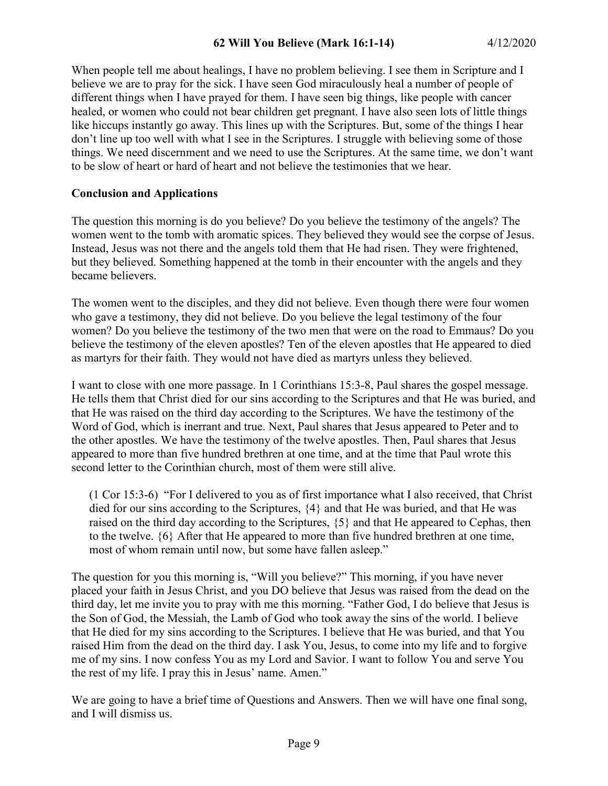When people tell me about healings, I have no problem believing. I see them in Scripture and I believe we are to pray for the sick. I have seen God miraculously heal a number of people of different things when I have prayed for them. I have seen big things, like people with cancer healed, or women who could not bear children get pregnant. I have also seen lots of little things like hiccups instantly go away. This lines up with the Scriptures. But, some of the things I hear don't line up too well with what I see in the Scriptures. I struggle with believing some of those things. We need discernment and we need to use the Scriptures. At the same time, we don't want to be slow of heart or hard of heart and not believe the testimonies that we hear.

## **Conclusion and Applications**

The question this morning is do you believe? Do you believe the testimony of the angels? The women went to the tomb with aromatic spices. They believed they would see the corpse of Jesus. Instead, Jesus was not there and the angels told them that He had risen. They were frightened, but they believed. Something happened at the tomb in their encounter with the angels and they became believers.

The women went to the disciples, and they did not believe. Even though there were four women who gave a testimony, they did not believe. Do you believe the legal testimony of the four women? Do you believe the testimony of the two men that were on the road to Emmaus? Do you believe the testimony of the eleven apostles? Ten of the eleven apostles that He appeared to died as martyrs for their faith. They would not have died as martyrs unless they believed.

I want to close with one more passage. In 1 Corinthians 15:3-8, Paul shares the gospel message. He tells them that Christ died for our sins according to the Scriptures and that He was buried, and that He was raised on the third day according to the Scriptures. We have the testimony of the Word of God, which is inerrant and true. Next, Paul shares that Jesus appeared to Peter and to the other apostles. We have the testimony of the twelve apostles. Then, Paul shares that Jesus appeared to more than five hundred brethren at one time, and at the time that Paul wrote this second letter to the Corinthian church, most of them were still alive.

(1 Cor 15:3-6) "For I delivered to you as of first importance what I also received, that Christ died for our sins according to the Scriptures, {4} and that He was buried, and that He was raised on the third day according to the Scriptures, {5} and that He appeared to Cephas, then to the twelve. {6} After that He appeared to more than five hundred brethren at one time, most of whom remain until now, but some have fallen asleep."

The question for you this morning is, "Will you believe?" This morning, if you have never placed your faith in Jesus Christ, and you DO believe that Jesus was raised from the dead on the third day, let me invite you to pray with me this morning. "Father God, I do believe that Jesus is the Son of God, the Messiah, the Lamb of God who took away the sins of the world. I believe that He died for my sins according to the Scriptures. I believe that He was buried, and that You raised Him from the dead on the third day. I ask You, Jesus, to come into my life and to forgive me of my sins. I now confess You as my Lord and Savior. I want to follow You and serve You the rest of my life. I pray this in Jesus' name. Amen."

We are going to have a brief time of Questions and Answers. Then we will have one final song, and I will dismiss us.